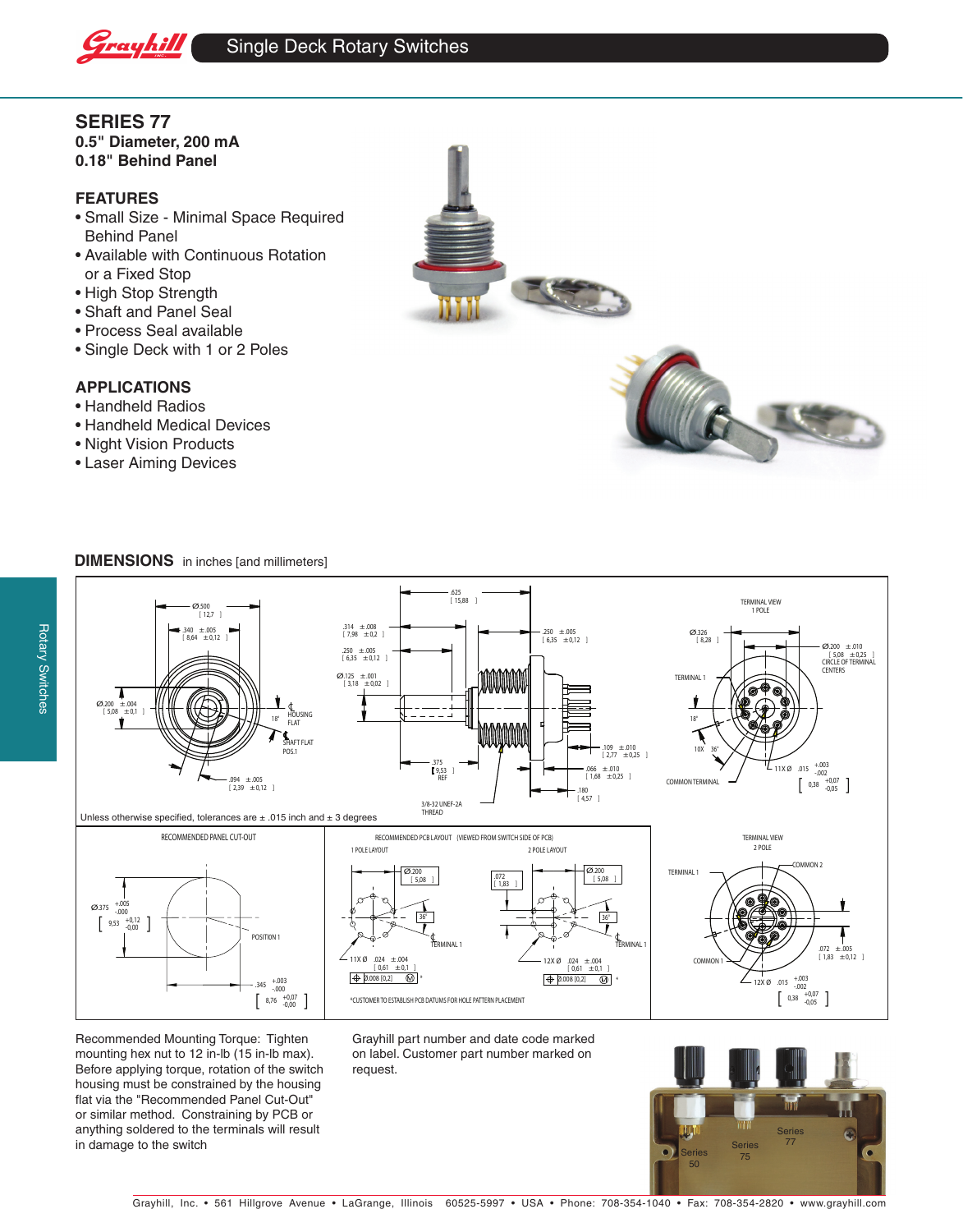

## **SERIES 77**

**0.5" Diameter, 200 mA 0.18" Behind Panel**

## **FEATURES**

- Small Size Minimal Space Required Behind Panel
- Available with Continuous Rotation or a Fixed Stop
- High Stop Strength
- Shaft and Panel Seal
- Process Seal available
- Single Deck with 1 or 2 Poles

## **APPLICATIONS**

- Handheld Radios
- Handheld Medical Devices
- Night Vision Products
- Laser Aiming Devices





## **DIMENSIONS** in inches [and millimeters]



Recommended Mounting Torque: Tighten mounting hex nut to 12 in-lb (15 in-lb max). Before applying torque, rotation of the switch housing must be constrained by the housing flat via the "Recommended Panel Cut-Out" or similar method. Constraining by PCB or anything soldered to the terminals will result in damage to the switch

Grayhill part number and date code marked on label. Customer part number marked on request.



Grayhill, Inc. • 561 Hillgrove Avenue • LaGrange, Illinois 60525-5997 • USA • Phone: 708-354-1040 • Fax: 708-354-2820 • www.grayhill.com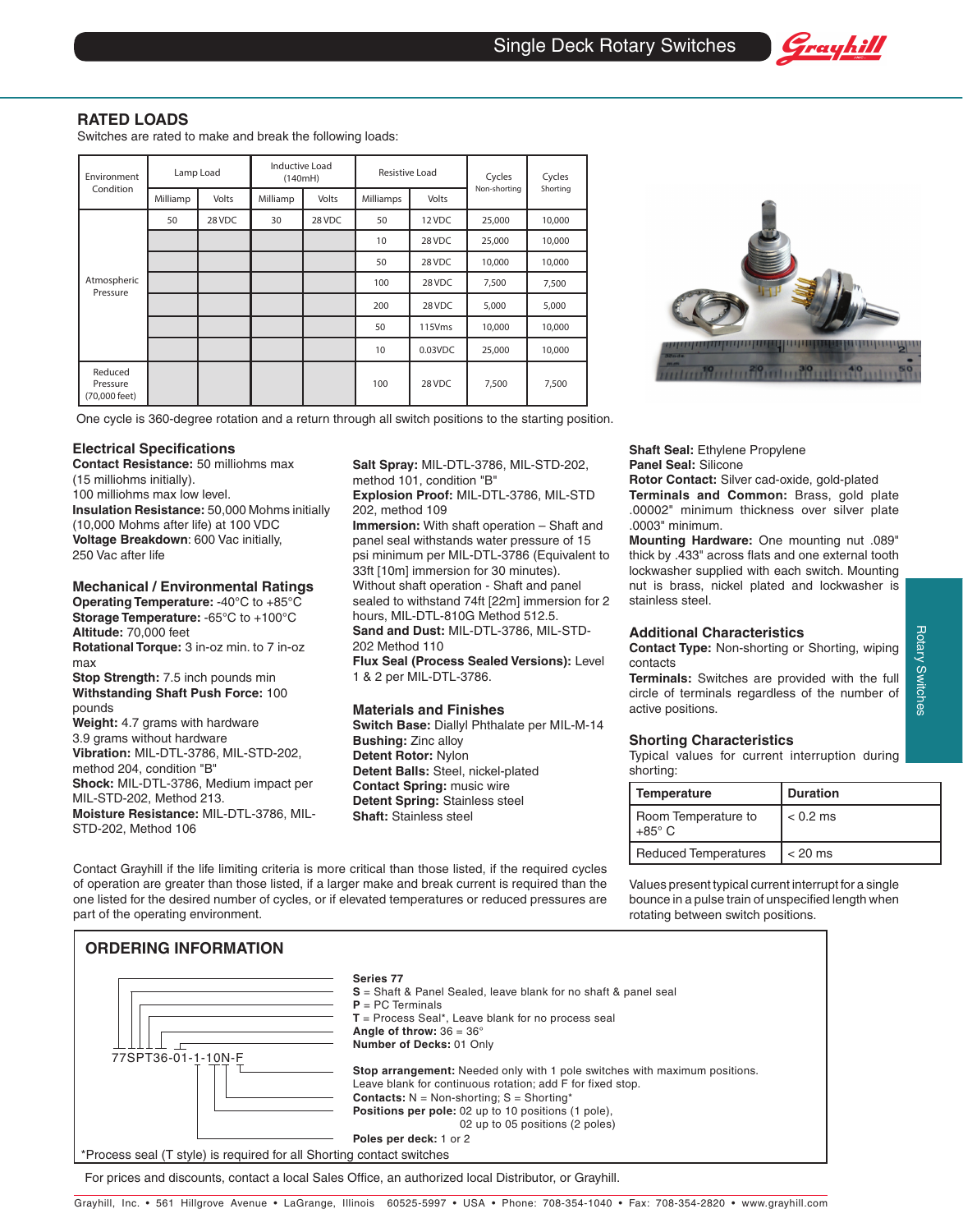

Switches are rated to make and break the following loads:

| Environment<br>Condition             | Lamp Load |        | <b>Inductive Load</b><br>(140mH) |        | Resistive Load |                    | Cycles       | Cycles   |
|--------------------------------------|-----------|--------|----------------------------------|--------|----------------|--------------------|--------------|----------|
|                                      | Milliamp  | Volts  | Milliamp                         | Volts  | Milliamps      | Volts              | Non-shorting | Shorting |
| Atmospheric<br>Pressure              | 50        | 28 VDC | 30                               | 28 VDC | 50             | 12 VDC             | 25,000       | 10,000   |
|                                      |           |        |                                  |        | 10             | 28 VDC             | 25,000       | 10,000   |
|                                      |           |        |                                  |        | 50             | 28 VDC             | 10,000       | 10,000   |
|                                      |           |        |                                  |        | 100            | 28 VDC             | 7,500        | 7,500    |
|                                      |           |        |                                  |        | 200            | 28 VDC             | 5,000        | 5,000    |
|                                      |           |        |                                  |        | 50             | 115V <sub>ms</sub> | 10,000       | 10,000   |
|                                      |           |        |                                  |        | 10             | $0.03$ VDC         | 25,000       | 10,000   |
| Reduced<br>Pressure<br>(70,000 feet) |           |        |                                  |        | 100            | 28 VDC             | 7,500        | 7,500    |



Grayhill

One cycle is 360-degree rotation and a return through all switch positions to the starting position.

#### **Electrical Specifications**

**Contact Resistance:** 50 milliohms max (15 milliohms initially). 100 milliohms max low level. **Insulation Resistance:** 50,000 Mohms initially (10,000 Mohms after life) at 100 VDC **Voltage Breakdown**: 600 Vac initially, 250 Vac after life

**Mechanical / Environmental Ratings Operating Temperature:** -40°C to +85°C **Storage Temperature:** -65°C to +100°C

**Altitude:** 70,000 feet **Rotational Torque:** 3 in-oz min. to 7 in-oz max

**Stop Strength:** 7.5 inch pounds min **Withstanding Shaft Push Force:** 100 pounds

**Weight:** 4.7 grams with hardware 3.9 grams without hardware **Vibration:** MIL-DTL-3786, MIL-STD-202, method 204, condition "B" **Shock:** MIL-DTL-3786, Medium impact per MIL-STD-202, Method 213. **Moisture Resistance:** MIL-DTL-3786, MIL-STD-202, Method 106

**Salt Spray:** MIL-DTL-3786, MIL-STD-202, method 101, condition "B" **Explosion Proof:** MIL-DTL-3786, MIL-STD

202, method 109 **Immersion:** With shaft operation – Shaft and panel seal withstands water pressure of 15 psi minimum per MIL-DTL-3786 (Equivalent to 33ft [10m] immersion for 30 minutes). Without shaft operation - Shaft and panel sealed to withstand 74ft [22m] immersion for 2 hours, MIL-DTL-810G Method 512.5. **Sand and Dust:** MIL-DTL-3786, MIL-STD-202 Method 110

**Flux Seal (Process Sealed Versions):** Level 1 & 2 per MIL-DTL-3786.

#### **Materials and Finishes**

**Switch Base:** Diallyl Phthalate per MIL-M-14 **Bushing:** Zinc alloy **Detent Rotor:** Nylon **Detent Balls:** Steel, nickel-plated **Contact Spring:** music wire **Detent Spring:** Stainless steel **Shaft:** Stainless steel

**Shaft Seal:** Ethylene Propylene **Panel Seal:** Silicone

**Rotor Contact:** Silver cad-oxide, gold-plated **Terminals and Common:** Brass, gold plate .00002" minimum thickness over silver plate .0003" minimum.

**Mounting Hardware:** One mounting nut .089" thick by .433" across flats and one external tooth lockwasher supplied with each switch. Mounting nut is brass, nickel plated and lockwasher is stainless steel.

#### **Additional Characteristics**

**Contact Type:** Non-shorting or Shorting, wiping contacts

**Terminals:** Switches are provided with the full circle of terminals regardless of the number of active positions.

#### **Shorting Characteristics**

Typical values for current interruption during shorting:

| Temperature                          | <b>Duration</b> |  |  |
|--------------------------------------|-----------------|--|--|
| Room Temperature to<br>$+85^\circ$ C | $< 0.2$ ms      |  |  |
| <b>Reduced Temperatures</b>          | $< 20$ ms       |  |  |

Contact Grayhill if the life limiting criteria is more critical than those listed, if the required cycles of operation are greater than those listed, if a larger make and break current is required than the one listed for the desired number of cycles, or if elevated temperatures or reduced pressures are part of the operating environment.

Values present typical current interrupt for a single bounce in a pulse train of unspecified length when rotating between switch positions.

| <b>ORDERING INFORMATION</b>                                           |                                                                                                                                                                                                                                                                                                                       |
|-----------------------------------------------------------------------|-----------------------------------------------------------------------------------------------------------------------------------------------------------------------------------------------------------------------------------------------------------------------------------------------------------------------|
|                                                                       | Series 77<br><b>S</b> = Shaft & Panel Sealed, leave blank for no shaft & panel seal<br>$P = PC$ Terminals<br>$T =$ Process Seal*, Leave blank for no process seal<br>Angle of throw: $36 = 36^\circ$<br>Number of Decks: 01 Only                                                                                      |
| 77SPT36-01-1-10N-F                                                    | Stop arrangement: Needed only with 1 pole switches with maximum positions.<br>Leave blank for continuous rotation; add F for fixed stop.<br><b>Contacts:</b> $N = Non-shorting$ ; $S = Shorting*$<br>Positions per pole: 02 up to 10 positions (1 pole),<br>02 up to 05 positions (2 poles)<br>Poles per deck: 1 or 2 |
| *Process seal (T style) is required for all Shorting contact switches |                                                                                                                                                                                                                                                                                                                       |
|                                                                       |                                                                                                                                                                                                                                                                                                                       |

For prices and discounts, contact a local Sales Office, an authorized local Distributor, or Grayhill.